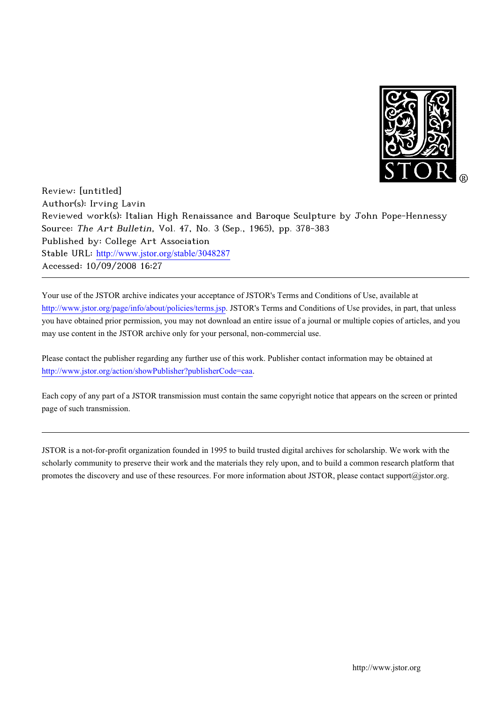

Review: [untitled] Author(s): Irving Lavin Author(s): If ving Lavin<br>Reviewed work(s): Italian High Renaissance and Baroque Sculpture by John Pope-Hennessy<br>heviewed works). Italian riigh Kenaissance and Baroque Scurpture<br>Source: *The Art Bulletin*, Vol. 47, No. 3 (Sep., 1965), pp. 378-383 Published by: College APT Association Stable URL: http://www.jstor.org/stable/3048287 Accessed: 10/09/2008 16:27

Your use of the JSTOR archive indicates your acceptance of JSTOR's Terms and Conditions of Use, available at http://www.jstor.org/page/info/about/policies/terms.jsp. JSTOR's Terms and Conditions of Use provides, in part, that unless you have obtained prior permission, you may not download an entire issue of a journal or multiple copies of articles, and you may use content in the JSTOR archive only for your personal, non-commercial use.

Please contact the publisher regarding any further use of this work. Publisher contact information may be obtained at http://www.jstor.org/action/showPublisher?publisherCode=caa.

Each copy of any part of a JSTOR transmission must contain the same copyright notice that appears on the screen or printed page of such transmission.

JSTOR is a not-for-profit organization founded in 1995 to build trusted digital archives for scholarship. We work with the scholarly community to preserve their work and the materials they rely upon, and to build a common research platform that promotes the discovery and use of these resources. For more information about JSTOR, please contact support@jstor.org.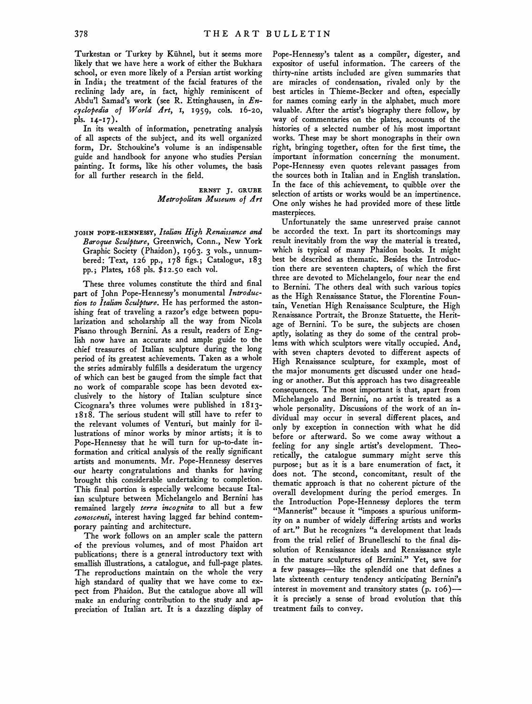Turkestan or Turkey by Kühnel, but it seems more likely that we have here a work of either the Bukhara school, or even more likely of a Persian artist working in India; the treatment of the facial features of the reclining lady are, in fact, highly reminiscent of Abdu'l Samad's work (see R. Ettinghausen, in *Encyclopedia of World Art,* r, 1959, cols. 16-20, pis. 14-17).

In its wealth of information, penetrating analysis of all aspects of the subject, and its well organized form, Dr. Stchoukine's volume is an indispensable guide and handbook for anyone who studies Persian painting. It forms, like his other volumes, the basis for all further research in the field.

> ERNST J. GRUBE  $$

JOHN POPE-HENNESSY, *Italian High Renaissance and Baroque Sculpture,* Greenwich, Conn., New York Graphic Society (Phaidon), 1963. 3 vols., unnumbered: Text, 126 pp., 178 figs.; Catalogue, 183 pp.; Plates, 168 pis. \$12.50 each vol.

These three volumes constitute the third and final part of John Pope-Hennessy's monumental *lntroduc·*  tion to *Italian Sculpture*. He has performed the astonishing feat of traveling a razor's edge between popularization and scholarship all the way from Nicola Pisano through Bernini. As a result, readers of English now have an accurate and ample guide to the chief treasures of Italian sculpture during the long period of its greatest achievements. Taken as a whole the series admirably fulfills a desideratum the urgency of which can best be gauged from the simple fact that no work of comparable scope has been devoted exclusively to the history of Italian sculpture since Cicognara's three volumes were published in 1813- 1818. The serious student will still have to refer to the relevant volumes of Venturi, but mainly for illustrations of minor works by minor artists; it is to Pope-Hennessy that he will turn for up-to-date information and critical analysis of the really significant artists and monuments. Mr. Pope-Hennessy deserves our hearty congratulations and thanks for having brought this considerable undertaking to completion. This final portion is especially welcome because Italian sculpture between Michelangelo and Bernini has remained largely *terra incognita* to all but a few *conoscenti,* interest having lagged far behind contemporary painting and architecture.

The work follows on an ampler scale the pattern <>f the previous volumes, and of most Phaidon art publications; there is a general introductory text with smallish illustrations, a catalogue, and full-page plates. The reproductions maintain on the whole the very high standard of quality that we have come to expect from Phaidon. But the catalogue above all will make an enduring contribution to the study and appreciation of Italian art. It is a dazzling display of Pope-Hennessy's talent as a compiler, digester, and expositor of useful information. The careers of the thirty-nine artists included are given summaries that are miracles of condensation, rivaled only by the best articles in Thieme-Becker and often, especially for names coming early in the alphabet, much more valuable. After the artist's biography there follow, by way of commentaries on the plates, accounts of the histories of a selected number of his most important works. These may be short monographs in their own right, bringing together, often for the first time, the important information concerning the monument. Pope-Hennessy even quotes relevant passages from the sources both in Italian and in English translation. In the face of this achievement, to quibble over the selection of artists or works would be an impertinence. One only wishes he had provided more of these little masterpieces.

Unfortunately the same unreserved praise cannot be accorded the text. In part its shortcomings may result inevitably from the way the material is treated, which is typical of many Phaidon books. It might best be described as thematic. Besides the Introduction there are seventeen chapters, of which the first three are devoted to Michelangelo, four near the end to Bernini. The others deal with such various topics as the High Renaissance Statue, the Florentine Fountain, Venetian High Renaissance Sculpture, the High Renaissance Portrait, the Bronze Statuette, the Heritage of Bernini. To be sure, the subjects are chosen aptly, isolating as they do some of the central problems with which sculptors were vitally occupied. And, with seven chapters devoted to different aspects of High Renaissance sculpture, for example, most of the major monuments get discussed under one heading or another. But this approach has two disagreeable consequences. The most important is that, apart from Michelangelo and Bernini, no artist is treated as a whole personality. Discussions of the work of an individual may occur in several different places, and only by exception in connection with what he did before or afterward. So we come away without a feeling for any single artist's development. Theoretically, the catalogue summary might serve this purpose; but as it is a bare enumeration of fact, it does not. The second, concomitant, result of the thematic approach is that no coherent picture of the overall development during the period emerges. In the Introduction Pope-Hennessy deplores the term "Mannerist" because it "imposes a spurious uniformity on a number of widely differing artists and works of art." But he recognizes "a development that leads from the trial relief of Brunelleschi to the final dissolution of Renaissance ideals and Renaissance style in the mature sculptures of Bernini." Yet, save for a few passages-like the splendid one that defines a late sixteenth century tendency anticipating Bernini's interest in movement and transitory states  $(p. 106)$  it is precisely a sense of broad evolution that this treatment fails to convey.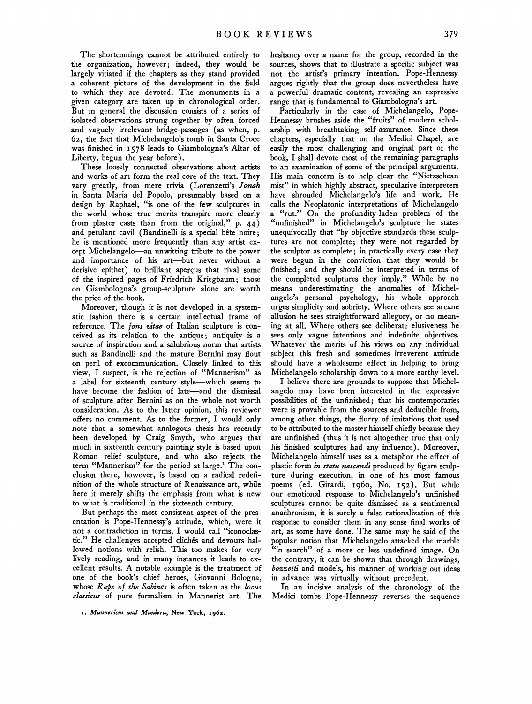The shortcomings cannot be attributed entirely to the organization, however; indeed, they would be largely vitiated if the chapters as they stand provided a coherent picture of the development in the field to which they are devoted. The monuments in a given category are taken up in chronological order. But in general the discussion consists of a series of isolated observations strung together by often forced and vaguely irrelevant bridge-passages (as when, p. 62, the fact that Michelangelo's tomb in Santa Croce was finished in 1578 leads to Giambologna's Altar of Liberty, begun the year before).

These loosely connected observations about artists and works of art form the real core of the text. They vary greatly, from mere trivia (Lorenzetti's *Jonah*  in Santa Maria del Popolo, presumably based on a design by Raphael, "is one of the few sculptures in the world whose true merits transpire more clearly from plaster casts than from the original,"  $p. 44$ ) and petulant cavil (Bandinelli is a special bete noire; he is mentioned more frequently than any artist except Michelangelo-an unwitting tribute to the power and importance of his art-but never without a derisive epithet) to brilliant aperçus that rival some of the inspired pages of Friedrich Kriegbaum; those on Giambologna's group-sculpture alone are worth the price of the book.

Moreover, though it is not developed in a systematic fashion there is a certain intellectual frame of reference. The *fons vitae* of Italian sculpture is conceived as its relation to the antique; antiquity is a source of inspiration and a salubrious norm that artists such as Bandinelli and the mature Bernini may flout on penl of excommunication. Closely linked to this view, I suspect, is the rejection of "Mannerism" as a label for sixteenth century style-which seems to have become the fashion of late-and the dismissal of sculpture after Bernini as on the whole not worth consideration. As to the latter opinion, this reviewer offers no comment. As to the former, I would only note that a somewhat analogous thesis has recently been developed by Craig Smyth, who argues that much in sixteenth century painting style is based upon Roman relief sculpture, and who also rejects the term "Mannerism" for the period at large.<sup>1</sup> The conclusion there, however, is based on a radical redefinition of the whole structure of Renaissance art, while here it merely shifts the emphasis from what is new to what is traditional in the sixteenth century.

But perhaps the most consistent aspect of the presentation is Pope-Hennessy's attitude, which, were it not a contradiction in terms, I would call "iconoclastic." He challenges accepted clichés and devours hallowed notions with relish. This too makes for very lively reading, and in many instances it leads to excellent results. A notable example is the treatment of one of the book's chief heroes, Giovanni Bologna, whose *Rape of the Sabines* is often taken as the *locus classicus* of pure formalism in Mannerist art. The

hesitancy over a name for the group, recorded in the sources, shows that to illustrate a specific subject was not the artist's primary intention. Pope-Hennessy argues rightly that the group does nevertheless have a powerful dramatic content, revealing an expressive range that is fundamental to Giambologna's art.

Particularly in the case of Michelangelo, Pope-Hennessy brushes aside the "fruits" of modern scholarship with breathtaking self-assurance. Since these chapters, especially that on the Medici Chapel, are easily the most challenging and original part of the book, I shall devote most of the remaining paragraphs to an examination of some of the principal arguments. His main concern is to help clear the "Nietzschean mist" in which highly abstract, speculative interpreters have shrouded Michelangelo's life and work. He calls the Neoplatonic interpretations of Michelangelo a "rut." On the profundity-laden problem of the "unfinished" in Michelangelo's sculpture he states unequivocally that "by objective standards these sculptures are not complete; they were not regarded by the sculptor as complete; in practically every case they were begun in the conviction that they would be finished; and they should be interpreted in terms of the completed sculptures they imply." While by no means underestimating the anomalies of Michelangelo's personal psychology, his whole approach urges simplicity and sobriety. Where others see arcane allusion he sees straightforward allegory, or no meaning at all. Where others see deliberate elusiveness he sees only vague intentions and indefinite objectives. Whatever the merits of his views on any individual subject this fresh and sometimes irreverent attitude should have a wholesome effect in helping to bring Michelangelo scholarship down to a more earthy level.

I believe there are grounds to suppose that Michelangelo may have been interested in the expressive possibilities of the unfinished; that his contemporaries were is provable from the sources and deducible from, among other things, the flurry of imitations that used to be attributed to the master himself chiefly because they are unfinished (thus it is not altogether true that only his finished sculptures had any influence). Moreover, Michelangelo himself uses as a metaphor the effect of plastic form in *statu nascendi* produced by figure sculpture during execution, in one of his most famous poems (ed. Girardi, 1960, No. 152). But while our emotional response to Michelangelo's unfinished sculptures cannot be quite dismissed as a sentimental anachronism, it is surely a false rationalization of this response to consider them in any sense final works of art, as some have done. The same may be said of the popular notion that Michelangelo attacked the marble "in search" of a more or less undefined image. On the contrary, it can be shown that through drawings, *bozzetti* and models, his manner of working out ideas in advance was virtually without precedent.

In an incisive analysis of the chronology of the Medici tombs Pope-Hennessy reverses the sequence

<sup>1.</sup> Mannerism and Maniera, New York, 1962.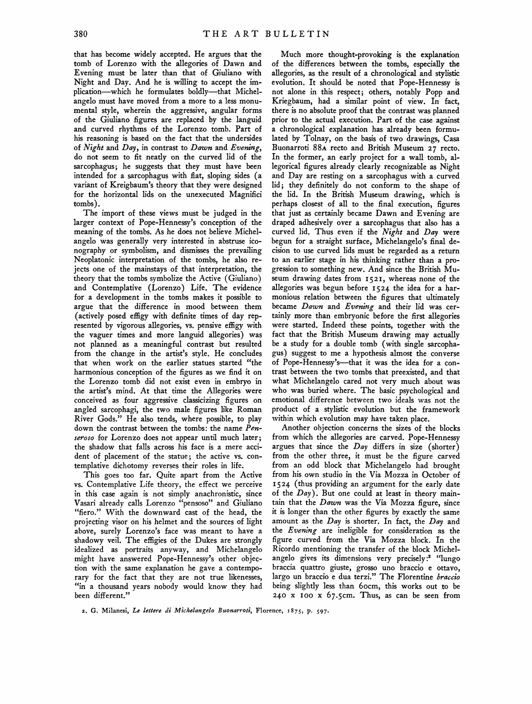that has become widely accepted. He argues that the tomb of Lorenzo with the allegories of Dawn and Evening must be later than that of Giuliano with Night and Day. And he is willing to accept the implication---which he formulates boldly---that Michelangelo must have moved from a more to a less monumental style, wherein the aggressive, angular forms of the Giuliano figures are replaced by the languid and curved rhythms of the Lorenzo tomb. Part of his reasoning is based on the fact that the undersides of *Night* and *Day,* in contrast to *Dawn* and *Evening,*  do not seem to fit neatly on the curved lid of the sarcophagus; he suggests that they must have been intended for a sarcophagus with flat, sloping sides (a variant of Kreigbaum's theory that they were designed for the horizontal lids on the unexecuted Magnifici tombs).

The import of these views must be judged in the larger context of Pope-Hennessy's conception of the meaning of the tombs. As he does not believe Michelangelo was generally very interested in abstruse iconography or symbolism, and dismisses the prevailing Neoplatonic interpretation of the tombs, he also rejects one of the mainstays of that interpretation, the theory that the tombs symbolize the Active (Giuliano) and Contemplative (Lorenzo) Life. The evidence for a development in the tombs makes it possible to argue that the difference in mood between them (actively posed effigy with definite times of day represented by vigorous allegories, vs. pensive effigy with the vaguer times and more languid allegories) was not planned as a meaningful contrast but resulted from the change in the artist's style. He concludes that when work on the earlier statues started "the harmonious conception of the figures as we find it on the Lorenzo tomb did not exist even in embryo in the artist's mind. At that time the Allegories were conceived as four aggressive classicizing figures on angled sarcophagi, the two male figures like Roman River Gods." He also tends, where possible, to play down the contrast between the tombs: the name *Penseroso* for Lorenzo does not appear until much later; the shadow that falls across his face is a mere accident of placement of the statue; the active vs. contemplative dichotomy reverses their roles in life.

This goes too far. Quite apart from the Active vs. Contemplative Life theory, the effect we perceive in this case again is not simply anachronistic, since Vasari already calls Lorenzo "pensoso" and Giuliano "fiero." With the downward cast of the head, the projecting visor on his helmet and the sources of light above, surely Lorenzo's face was meant to have a shadowy veil. The effigies of the Dukes are strongly idealized as portraits anyway, and Michelangelo might have answered Pope-Hennessy's other objection with the same explanation he gave a contemporary for the fact that they are not true likenesses, "in a thousand years nobody would know they had been different."

Much more thought-provoking is the explanation of the differences between the tombs, especially the allegories, as the result of a chronological and stylistic evolution. It should be noted that Pope-Hennessy is not alone in this respect; others, notably Popp and Kriegbaum, had a similar point of view. In fact, there is no absolute proof that the contrast was planned prior to the actual execution. Part of the case against a chronological explanation has already been formulated by Tolnay, on the basis of two drawings, Casa Buonarroti 88A recto and British Museum 27 recto. In the former, an early project for a wall tomb, allegorical figures already clearly recognizable as Night and Day are resting on a sarcophagus with a curved lid; they definitely do not conform to the shape of the lid. In the British Museum drawing, which is perhaps closest of all to the final execution, figures that just as certainly became Dawn and Evening are draped adhesively over a sarcophagus that also has a curved lid. Thus even if the *Night* and *Day* were begun for a straight surface, Michelangelo's final decision to use curved lids must be regarded as a return to an earlier stage in his thinking rather than a progression to something new. And since the British Museum drawing dates from 1521, whereas none of the allegories was begun before 15 24 the idea for a harmonious relation between the figures that ultimately became *Dawn* and *Evening* and their lid was certainly more than embryonic before the first allegories were started. Indeed these points, together with the fact that the British Museum drawing may actually be a study for a double tomb (with single sarcophagus) suggest to me a hypothesis almost the converse of Pope-Hennessy's---that it was the idea for a contrast between the two tombs that preexisted, and that what Michelangelo cared not very much about was who was buried where. The basic psychological and emotional difference between two ideals was not the product of a stylistic evolution but the framework within which evolution may have taken place.

Another objection concerns the sizes of the blocks from which the allegories are carved. Pope-Hennessy argues that since the *Day* differs in size (shorter) from the other three, it must be the figure carved from an odd block that Michelangelo had brought from his own studio in the Via Mozza in October of 1524 (thus providing an argument for the early date of the *Day).* But one could at least in theory maintain that the *Dawn* was the Via Mozza figure, since it is longer than the other figures by exactly the same amount as the *Day* is shorter. In fact, the *Day* and the *Evening* are ineligible for consideration as the figure curved from the Via Mozza block. In the Ricardo mentioning the transfer of the block Michelangelo gives its dimensions very precisely:<sup>2</sup> "lungo braccia quattro giuste, grosso uno braccio e ottavo, largo un braccio e dua terzi." The Florentine *braccio*  being slightly less than 6ocm, this works out to be 240 x 100 x 67.5cm. Thus, as can be seen from

2. G. Milanesi, *Le lettere di Michelangelo Buonarroti,* Florence, 1875, p. *597.*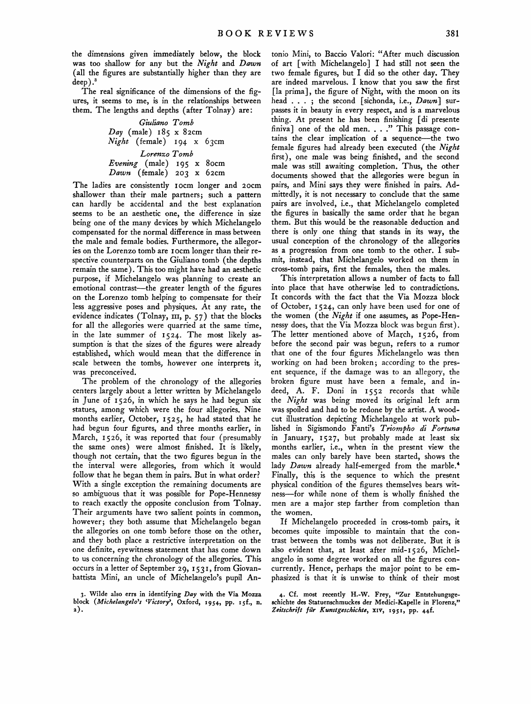the dimensions given immediately below, the block was too shallow for any but the *Night* and *Dawn*  (all the figures are substantially higher than they are deep).<sup>3</sup>

The real significance of the dimensions of the figures, it seems to me, is in the relationships between them. The lengths and depths (after Tolnay) are:

> *Giuliano Tomb Day* (male) 185 x 82cm *Night* (female) 194 x 63cm *Lorenzo Tomb Evening* (male) 195 x 8ocm *Dawn* (female) 203 x 62cm

The ladies are consistently 10cm longer and 20cm shallower than their male partners; such a pattern can hardly be accidental and the best explanation seems to be an aesthetic one, the difference in size being one of the many devices by which Michelangelo compensated for the normal difference in mass between the male and female bodies. Furthermore, the allegories on the Lorenzo tomb are 1 ocm longer than their respective counterparts on the Giuliano tomb (the depths remain the same). This too might have had an aesthetic purpose, if Michelangelo was planning to create an emotional contrast-the greater length of the figures on the Lorenzo tomb helping to compensate for their less aggressive poses and physiques. At any rate, the evidence indicates (Tolnay, m, p. 57) that the blocks for all the allegories were quarried at the same time, in the late summer of 15 *24.* The most likely assumption is that the sizes of the figures were already established, which would mean that the difference in scale between the tombs, however one interprets it, was preconceived.

The problem of the chronology of the allegories centers largely about a letter written by Michelangelo in June of 1526, in which he says he had begun six statues, among which were the four allegories. Nine months earlier, October, 1525, he had stated that he had begun four figures, and three months earlier, in March, 1526, it was reported that four (presumably the same ones) were almost finished. It is likely, though not certain, that the two figures begun in the the interval were allegories, from which it would follow that he began them in pairs. But in what order? With a single exception the remaining documents are so ambiguous that it was possible for Pope-Hennessy to reach exactly the opposite conclusion from Tolnay. Their arguments have two salient points in common, however; they both assume that Michelangelo began the allegories on one tomb before those on the other, and they both place a restrictive interpretation on the one definite, eyewitness statement that has come down to us concerning the chronology of the allegories. This occurs in a letter of September 29, 1531, from Giovanbattista Mini, an uncle of Michelangelo's pupil An-

3. Wilde also errs in identifying *Day* with the Via Mozza block *(Michelangelo's 'Victory',* Oxford, 1954, pp. 15f., n. 2).

tonio Mini, to Baccio Valori: "After much discussion of art [with Michelangelo] I had still not seen the two female figures, but I did so the other day. They are indeed marvelous. I know that you saw the first [la prima], the figure of Night, with the moon on its head . . . ; the second [ sichonda, i.e., *Dawn]* surpasses it in beauty in every respect, and is a marvelous thing. At present he has been finishing [di presente finiva] one of the old men.  $\ldots$ ." This passage contains the clear implication of a sequence—the two female figures had already been executed (the *Night*  first), one male was being finished, and the second male was still awaiting completion. Thus, the other documents showed that the allegories were begun in pairs, and Mini says they were finished in pairs. Admittedly, it is not necessary to conclude that the same pairs are involved, i.e., that Michelangelo completed the figures in basically the same order that he began them. But this would be the reasonable deduction and there is only one thing that stands in its way, the usual conception of the chronology of the allegories as a progression from one tomb to the other. I submit, instead, that Michelangelo worked on them in cross-tomb pairs, first the females, then the males.

This interpretation allows a number of facts to fall into place that have otherwise led to contradictions. It concords with the fact that the Via Mozza block of October, 1524, can only have been used for one of the women (the *Night* if one assumes, as Pope-Hennessy does, that the Via Mozza block was begun first). The letter mentioned above of March, 1526, from before the second pair was begun, refers to a rumor that one of the four figures Michelangelo was then working on had been broken; according to the present sequence, if the damage was to an allegory, the broken figure must have been a female, and indeed, A. F. Doni in 1552 records that while the *Night* was being moved its original left arm was spoiled and had to be redone by the artist. A woodcut illustration depicting Michelangelo at work published in Sigismondo Fanti's *Triompho di Fortuna*  in January, 1527, but probably made at least six months earlier, i.e., when in the present view the males can only barely have been started, shows the lady *Dawn* already half-emerged from the marble.<sup>4</sup> Finally, this is the sequence to which the present physical condition of the figures themselves bears witness-for while none of them is wholly finished the men are a major step farther from completion than the women.

If Michelangelo proceeded in cross-tomb pairs, it becomes quite impossible to maintain that the contrast between the tombs was not deliberate. But it is also evident that, at least after mid-1526, Michelangelo in some degree worked on all the figures concurrently. Hence, perhaps the major point to be emphasized is that it is unwise to think of their most

4. Cf. most recently H.-W. Frey, "Zur Entstehungsgeschichte des Statuenschmuckes der Medici-Kapelle in Florenz," *Zeitschrift fib' Kunstgeschichte,* xiv, 1951, pp. 44f.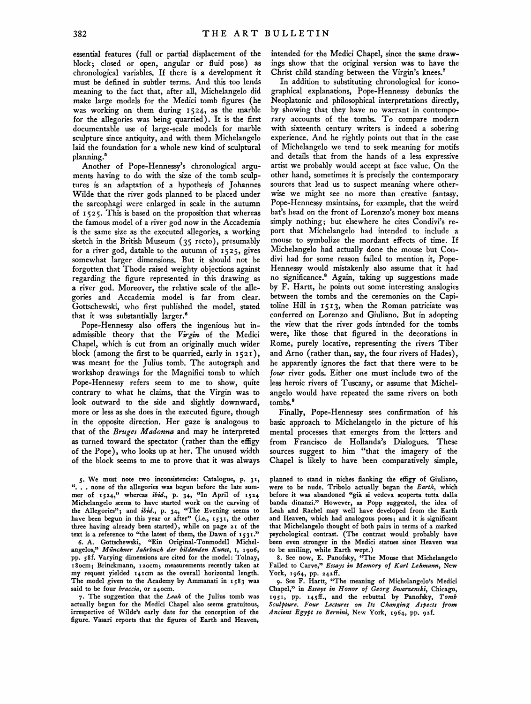essential features (full or partial displacement of the block; closed or open, angular or fluid pose) as chronological variables. If there is a development it must be defined in subtler terms. And this too lends meaning to the fact that, after all, Michelangelo did make large models for the Medici tomb figures (he was working on them during 1524, as the marble for the allegories was being quarried). It is the first documentable use of large-scale models for marble sculpture since antiquity, and with them Michelangelo laid the foundation for a whole new kind of sculptural planning. <sup>5</sup>

Another of Pope-Hennessy's chronological arguments having to do with the size of the tomb sculptures is an adaptation of a hypothesis of Johannes Wilde that the river gods planned to be placed under the sarcophagi were enlarged in scale in the autumn of  $1525$ . This is based on the proposition that whereas the famous model of a river god now in the Accademia is the same size as the executed allegories, a working sketch in the British Museum (35 recto), presumably for a river god, datable to the autumn of 1525, gives somewhat larger dimensions. But it should not be forgotten that Thode raised weighty objections against regarding the figure represented in this drawing as a river god. Moreover, the relative scale of the allegories and Accademia model is far from clear. Gottschewski, who first published the model, stated that it was substantially larger.6

Pope-Hennessy also offers the ingenious but inadmissible theory that the  $Virgin$  of the Medici Chapel, which is cut from an originally much wider block (among the first to be quarried, early in  $1521$ ), was meant for the Julius tomb. The autograph and workshop drawings for the Magnifici tomb to which Pope-Hennessy refers seem to me to show, quite contrary to what he claims, that the Virgin was to look outward to the side and slightly downward, more or less as she does in the executed figure, though in the opposite direction. Her gaze is analogous to that of the *Bruges Madonna* and may be interpreted as turned toward the spectator (rather than the effigy of the Pope), who looks up at her. The unused width of the block seems to me to prove that it was always

5. We must note two inconsistencies: Catalogue, p. 31, "... none of the allegories was begun before the late summer of 1524,'' whereas *ibid.,* p. 34, "In April of 1524 Michelangelo seems to have started work on the carving of the Allegories"; and *ibid.,* p. 34, "The Evening seems to have been begun in this year or after" (i.e., 1531, the other three having already been started), while on page 21 of the text is a reference to "the latest of them, the Dawn of 1531."

6. A. Gottschewski, "Ein Original-Tonmodell Michelangelos," *Miinchner Jahrbuch der bildenden Kunst,* r, 1906, pp. 58f. Varying dimensions are cited for the model: Tolnay, 18ocm; Brinckmann, 12ocm; measurements recently taken at my request yielded 141cm as the overall horizontal length. The model given to the Academy by Ammanati in 1583 was said to be four *braccia,* or 24ocm.

7. The suggestion that the *Leah* of the Julius tomb was actually begun for the Medici Chapel also seems gratuitous, irrespective of Wilde's early date for the conception of the figure. Vasari reports that the figures of Earth and Heaven, intended for the Medici Chapel, since the same drawings show that the original version was to have the Christ child standing between the Virgin's knees.<sup>7</sup>

In addition to substituting chronological for iconographical explanations, Pope-Hennessy debunks the Neoplatonic and philosophical interpretations directly, by showing that they have no warrant in contemporary accounts of the tombs. To compare modern with sixteenth century writers is indeed a sobering experience. And he rightly points out that in the case of Michelangelo we tend to seek meaning for motifs and details that from the hands of a less expressive artist we probably would accept at face value. On the other hand, sometimes it is precisely the contemporary sources that lead us to suspect meaning where otherwise we might see no more than creative fantasy. Pope-Hennessy maintains, for example, that the weird bat's head on the front of Lorenzo's money box means simply nothing; but elsewhere he cites Condivi's report that Michelangelo had intended to include a mouse to symbolize the mordant effects of time. If Michelangelo had actually done the mouse but Condivi had for some reason failed to mention it, Pope-Hennessy would mistakenly also assume that it had no significance.8 Again, taking up suggestions made by F. Hartt, he points out some interesting analogies between the tombs and the ceremonies on the Capitoline Hill in 1513, when the Roman patriciate was conferred on Lorenzo and Giuliano. But in adopting the view that the river gods intended for the tombs were, like those that figured in the decorations in Rome, purely locative, representing the rivers Tiber and Arno (rather than, say, the four rivers of Hades), he apparently ignores the fact that there were to be *four* river gods. Either one must include two of the less heroic rivers of Tuscany, or assume that Michelangelo would have repeated the same rivers on both tombs. <sup>9</sup>

Finally, Pope-Hennessy sees confirmation of his basic approach to Michelangelo in the picture of his mental processes that emerges from the letters and from Francisco de Hollanda's Dialogues. These sources suggest to him "that the imagery of the Chapel is likely to have been comparatively simple,

planned to stand in niches flanking the effigy of Giuliano, were to be nude. Tribolo actually began the *Earth,* which before it was abandoned "gia si vedeva scoperta tutta dalla banda dinanzi." However, as Popp suggested, the idea of Leah and Rachel may well have developed from the Earth and Heaven, which had analogous poses; and it is significant that Michelangelo thought of both pairs in terms of a marked psychological contrast. (The contrast would probably have been even stronger in the Medici statues since Heaven was to be smiling, while Earth wept.)

8. See now, E. Panofsky, "The Mouse that Michelangelo Failed to Carve,'' *Essays in Memory of Karl Lehmann,* New York, 1964, pp. 242ff.

9. See F. Hartt, "The meaning of Michelangelo's Medici Chapel," in *Essays in Honor of Georg Swarzenski,* Chicago, 1951, pp. 145ff., and the rebuttal by Panofsky, *Tomb Sculpture. Four Lectures on Its Changing Aspects from Ancient Egypt to Bernini,* New York, 1964, pp. 92f.